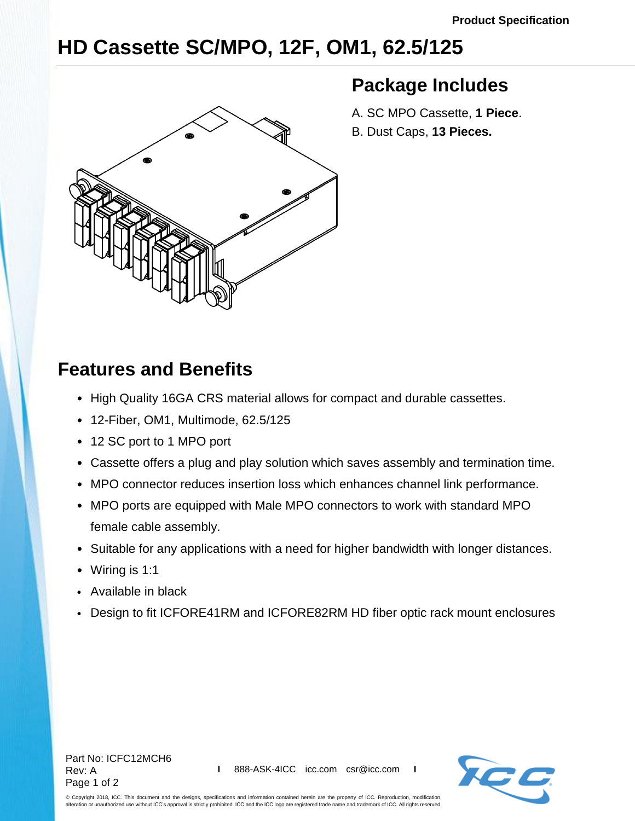## **HD Cassette SC/MPO, 12F, OM1, 62.5/125**



## **Package Includes**

- A. SC MPO Cassette, **1 Piece**.
- B. Dust Caps, **13 Pieces.**

## **Features and Benefits**

- High Quality 16GA CRS material allows for compact and durable cassettes.
- 12-Fiber, OM1, Multimode, 62.5/125
- 12 SC port to 1 MPO port
- Cassette offers a plug and play solution which saves assembly and termination time.
- MPO connector reduces insertion loss which enhances channel link performance.
- MPO ports are equipped with Male MPO connectors to work with standard MPO female cable assembly.
- Suitable for any applications with a need for higher bandwidth with longer distances.
- Wiring is 1:1
- Available in black
- Design to fit ICFORE41RM and ICFORE82RM HD fiber optic rack mount enclosures



© Copyright 2018, ICC. This document and the designs, specifications and information contained herein are the property of ICC. Reproduction, modification, alteration or unauthorized use without ICC's approval is strictly prohibited. ICC and the ICC logo are registered trade name and trademark of ICC. All rights reserved.